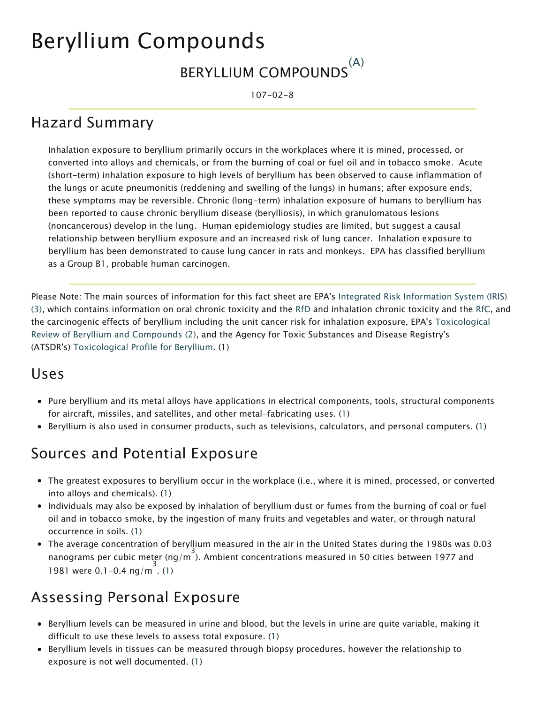# Beryllium Compounds

#### BERYLLIUM COMPOUNDS (A)

107-02-8

# Hazard Summary

Inhalation exposure to beryllium primarily occurs in the workplaces where it is mined, processed, or converted into alloys and chemicals, or from the burning of coal or fuel oil and in tobacco smoke. Acute (short-term) inhalation exposure to high levels of beryllium has been observed to cause inflammation of the lungs or acute pneumonitis (reddening and swelling of the lungs) in humans; after exposure ends, these symptoms may be reversible. Chronic (long-term) inhalation exposure of humans to beryllium has been reported to cause chronic beryllium disease (berylliosis), in which granulomatous lesions (noncancerous) develop in the lung. Human epidemiology studies are limited, but suggest a causal relationship between beryllium exposure and an increased risk of lung cancer. Inhalation exposure to beryllium has been demonstrated to cause lung cancer in rats and monkeys. EPA has classified beryllium as a Group B1, probable human carcinogen.

Please Note: The main sources of information for this fact sheet are EPA's Integrated Risk Information System (IRIS) (3), which contains information on oral chronic toxicity and the [RfD](https://www.epa.gov/haps/health-effects-notebook-glossary) and inhalation chronic toxicity and the [RfC,](https://www.epa.gov/haps/health-effects-notebook-glossary) and the carcinogenic effects of beryllium including the unit cancer risk for inhalation exposure, EPA's Toxicological Review of Beryllium and Compounds (2), and the Agency for Toxic Substances and Disease Registry's (ATSDR's) Toxicological Profile for Beryllium. (1)

### Uses

- Pure beryllium and its metal alloys have applications in electrical components, tools, structural components for aircraft, missiles, and satellites, and other metal-fabricating uses. (1)
- Beryllium is also used in consumer products, such as televisions, calculators, and personal computers. (1)

### Sources and Potential Exposure

- The greatest exposures to beryllium occur in the workplace (i.e., where it is mined, processed, or converted into alloys and chemicals). (1)
- Individuals may also be exposed by inhalation of beryllium dust or fumes from the burning of coal or fuel oil and in tobacco smoke, by the ingestion of many fruits and vegetables and water, or through natural occurrence in soils. (1)
- The average concentration of beryllium measured in the air in the United States during the 1980s was 0.03 nanograms per cubic meter (ng/m<sup>)</sup>). Ambient concentrations measured in 50 cities between 1977 and 1981 were 0.1-0.4 ng/m . (1)

## Assessing Personal Exposure

- Beryllium levels can be measured in urine and blood, but the levels in urine are quite variable, making it difficult to use these levels to assess total exposure. (1)
- Beryllium levels in tissues can be measured through biopsy procedures, however the relationship to exposure is not well documented. (1)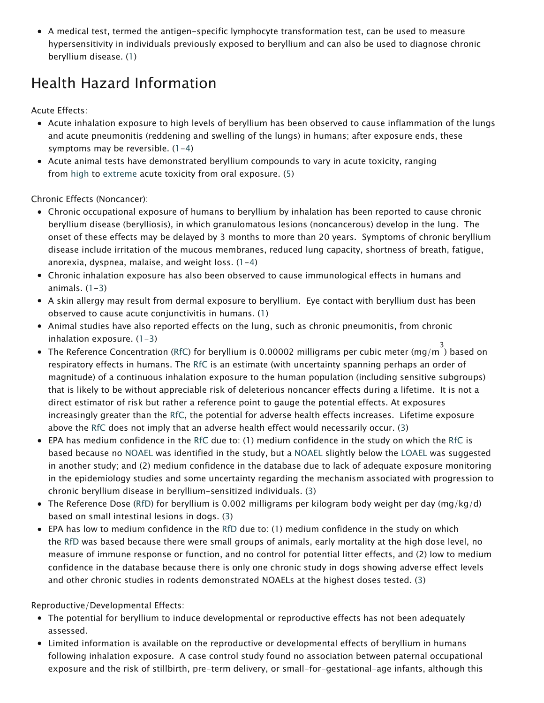A medical test, termed the antigen-specific lymphocyte transformation test, can be used to measure hypersensitivity in individuals previously exposed to beryllium and can also be used to diagnose chronic beryllium disease. (1)

# Health Hazard Information

Acute Effects:

- Acute inhalation exposure to high levels of beryllium has been observed to cause inflammation of the lungs and acute pneumonitis (reddening and swelling of the lungs) in humans; after exposure ends, these symptoms may be reversible.  $(1-4)$
- Acute animal tests have demonstrated beryllium compounds to vary in acute toxicity, ranging from [high](https://www.epa.gov/haps/about-health-effects-fact-sheets) to [extreme](https://www.epa.gov/haps/about-health-effects-fact-sheets) acute toxicity from oral exposure. (5)

Chronic Effects (Noncancer):

- Chronic occupational exposure of humans to beryllium by inhalation has been reported to cause chronic beryllium disease (berylliosis), in which granulomatous lesions (noncancerous) develop in the lung. The onset of these effects may be delayed by 3 months to more than 20 years. Symptoms of chronic beryllium disease include irritation of the mucous membranes, reduced lung capacity, shortness of breath, fatigue, anorexia, dyspnea, malaise, and weight loss. (1-4)
- Chronic inhalation exposure has also been observed to cause immunological effects in humans and animals.  $(1-3)$
- A skin allergy may result from dermal exposure to beryllium. Eye contact with beryllium dust has been observed to cause acute conjunctivitis in humans. (1)
- Animal studies have also reported effects on the lung, such as chronic pneumonitis, from chronic inhalation exposure. (1-3)
- The Reference Concentration ([RfC](https://www.epa.gov/haps/health-effects-notebook-glossary)) for beryllium is 0.00002 milligrams per cubic meter (mg/m  $\overline{\text{)}}^3$  based on respiratory effects in humans. The [RfC](https://www.epa.gov/haps/health-effects-notebook-glossary) is an estimate (with uncertainty spanning perhaps an order of magnitude) of a continuous inhalation exposure to the human population (including sensitive subgroups) that is likely to be without appreciable risk of deleterious noncancer effects during a lifetime. It is not a direct estimator of risk but rather a reference point to gauge the potential effects. At exposures increasingly greater than the [RfC,](https://www.epa.gov/haps/health-effects-notebook-glossary) the potential for adverse health effects increases. Lifetime exposure above the [RfC](https://www.epa.gov/haps/health-effects-notebook-glossary) does not imply that an adverse health effect would necessarily occur. (3)
- EPA has medium confidence in the [RfC](https://www.epa.gov/haps/health-effects-notebook-glossary) due to: (1) medium confidence in the study on which the [RfC](https://www.epa.gov/haps/health-effects-notebook-glossary) is based because no [NOAEL](https://www.epa.gov/haps/health-effects-notebook-glossary) was identified in the study, but a [NOAEL](https://www.epa.gov/haps/health-effects-notebook-glossary) slightly below the [LOAEL](https://www.epa.gov/haps/health-effects-notebook-glossary) was suggested in another study; and (2) medium confidence in the database due to lack of adequate exposure monitoring in the epidemiology studies and some uncertainty regarding the mechanism associated with progression to chronic beryllium disease in beryllium-sensitized individuals. (3)
- The Reference Dose [\(RfD\)](https://www.epa.gov/haps/health-effects-notebook-glossary) for beryllium is 0.002 milligrams per kilogram body weight per day (mg/kg/d) based on small intestinal lesions in dogs. (3)
- EPA has low to medium confidence in the [RfD](https://www.epa.gov/haps/health-effects-notebook-glossary) due to: (1) medium confidence in the study on which the [RfD](https://www.epa.gov/haps/health-effects-notebook-glossary) was based because there were small groups of animals, early mortality at the high dose level, no measure of immune response or function, and no control for potential litter effects, and (2) low to medium confidence in the database because there is only one chronic study in dogs showing adverse effect levels and other chronic studies in rodents demonstrated NOAELs at the highest doses tested. (3)

Reproductive/Developmental Effects:

- The potential for beryllium to induce developmental or reproductive effects has not been adequately assessed.
- Limited information is available on the reproductive or developmental effects of beryllium in humans following inhalation exposure. A case control study found no association between paternal occupational exposure and the risk of stillbirth, pre-term delivery, or small-for-gestational-age infants, although this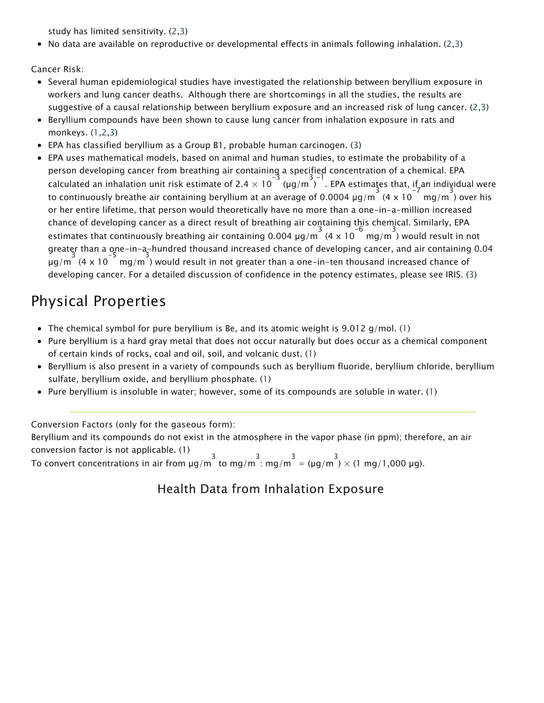study has limited sensitivity. (2,3)

• No data are available on reproductive or developmental effects in animals following inhalation. (2,3)

Cancer Risk:

- Several human epidemiological studies have investigated the relationship between beryllium exposure in workers and lung cancer deaths. Although there are shortcomings in all the studies, the results are suggestive of a causal relationship between beryllium exposure and an increased risk of lung cancer. (2,3)
- Beryllium compounds have been shown to cause lung cancer from inhalation exposure in rats and monkeys. (1,2,3)
- EPA has classified beryllium as a Group B1, probable human carcinogen. (3)
- EPA uses mathematical models, based on animal and human studies, to estimate the probability of a person developing cancer from breathing air containing a specified concentration of a chemical. EPA calculated an inhalation unit risk estimate of 2.4  $\times$  10<sup>-3</sup> (µg/m<sup>33-1</sup>). EPA estimates that, if an individual were to continuously breathe air containing beryllium at an average of 0.0004  $\mu$ g/m  $\,$  (4  $\times$  10  $\,$  mg/m  $\,$ ) over his or her entire lifetime, that person would theoretically have no more than a one-in-a-million increased chance of developing cancer as a direct result of breathing air containing this chemical. Similarly, EPA estimates that continuously breathing air containing 0.004  $\mu$ g/m<sup>3</sup> (4 x 10<sup>-6</sup> mg/m<sup>3</sup>) would result in not greater than a  $_{\text{eq}}^{\text{one}-\text{in}-\text{a}-\text{hundred}}$  thousand increased chance of developing cancer, and air containing 0.04  $\frac{3}{\mu}$ g/m $\frac{3}{\mu}$  (4 x 10  $^{-5}$  mg/m  $^3$ ) would result in not greater than a one-in-ten thousand increased chance of developing cancer. For a detailed discussion of confidence in the potency estimates, please see IRIS. (3)

# Physical Properties

- The chemical symbol for pure beryllium is Be, and its atomic weight is  $9.012$  g/mol. (1)
- Pure beryllium is a hard gray metal that does not occur naturally but does occur as a chemical component of certain kinds of rocks, coal and oil, soil, and volcanic dust. (1)
- Beryllium is also present in a variety of compounds such as beryllium fluoride, beryllium chloride, beryllium sulfate, beryllium oxide, and beryllium phosphate. (1)
- Pure beryllium is insoluble in water; however, some of its compounds are soluble in water. (1)

Conversion Factors (only for the gaseous form):

Beryllium and its compounds do not exist in the atmosphere in the vapor phase (in ppm); therefore, an air conversion factor is not applicable. (1)

To convert concentrations in air from  $\mu$ g/m $\frac{3}{3}$  to mg/m $\frac{3}{3}$  mg/m  $\frac{3}{3}$  = ( $\mu$ g/m  $\frac{3}{3}$   $\times$  (1 mg/1,000  $\mu$ g).

#### Health Data from Inhalation Exposure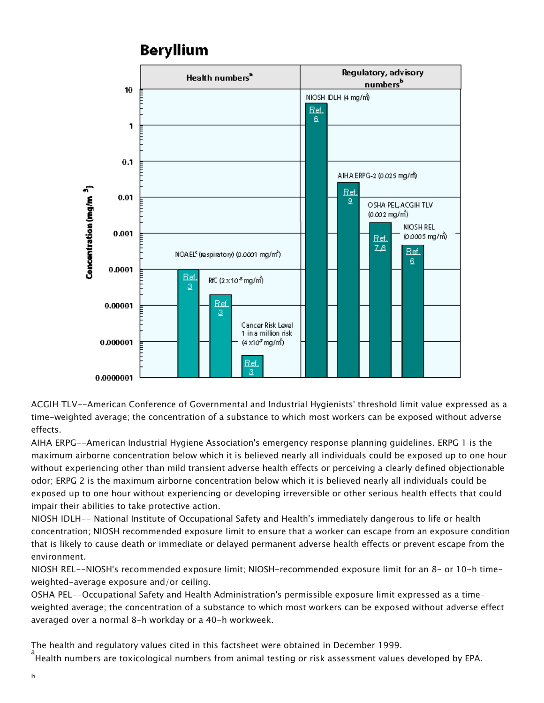#### **Beryllium**



ACGIH TLV--American Conference of Governmental and Industrial Hygienists' threshold limit value expressed as a time-weighted average; the concentration of a substance to which most workers can be exposed without adverse effects.

AIHA ERPG--American Industrial Hygiene Association's emergency response planning guidelines. ERPG 1 is the maximum airborne concentration below which it is believed nearly all individuals could be exposed up to one hour without experiencing other than mild transient adverse health effects or perceiving a clearly defined objectionable odor; ERPG 2 is the maximum airborne concentration below which it is believed nearly all individuals could be exposed up to one hour without experiencing or developing irreversible or other serious health effects that could impair their abilities to take protective action.

NIOSH IDLH-- National Institute of Occupational Safety and Health's immediately dangerous to life or health concentration; NIOSH recommended exposure limit to ensure that a worker can escape from an exposure condition that is likely to cause death or immediate or delayed permanent adverse health effects or prevent escape from the environment.

NIOSH REL--NIOSH's recommended exposure limit; NIOSH-recommended exposure limit for an 8- or 10-h timeweighted-average exposure and/or ceiling.

OSHA PEL--Occupational Safety and Health Administration's permissible exposure limit expressed as a timeweighted average; the concentration of a substance to which most workers can be exposed without adverse effect averaged over a normal 8-h workday or a 40-h workweek.

The health and regulatory values cited in this factsheet were obtained in December 1999. a<br>Health numbers are toxicological numbers from animal testing or risk assessment values developed by EPA.